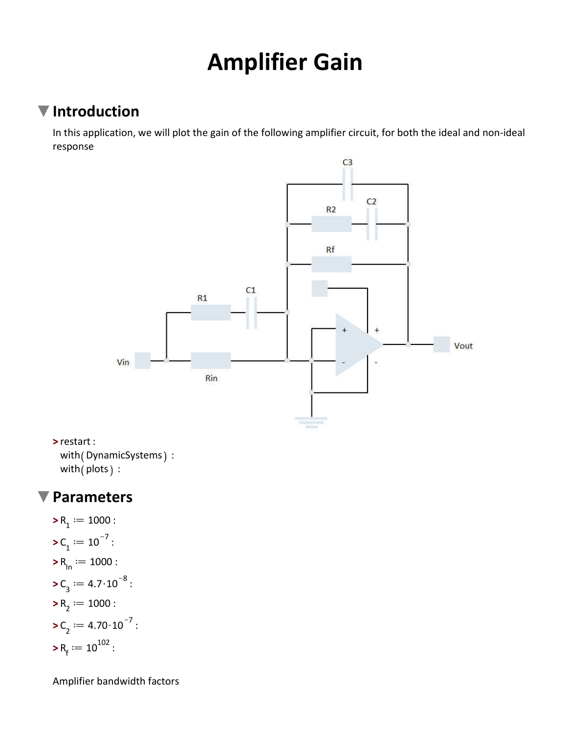# **Amplifier Gain**

### **Introduction**

In this application, we will plot the gain of the following amplifier circuit, for both the ideal and non-ideal response



**>** restart : with (DynamicSystems) : with  $($  plots  $):$ 

#### **Parameters**  $\blacktriangledown$

\n
$$
R_1 := 1000:
$$
\n
$$
C_1 := 10^{-7}:
$$
\n
$$
R_{\ln} := 1000:
$$
\n
$$
C_3 := 4.7 \cdot 10^{-8}:
$$
\n
$$
R_2 := 1000:
$$
\n
$$
C_2 := 4.70 \cdot 10^{-7}:
$$
\n
$$
R_f := 10^{102}:
$$
\n

Amplifier bandwidth factors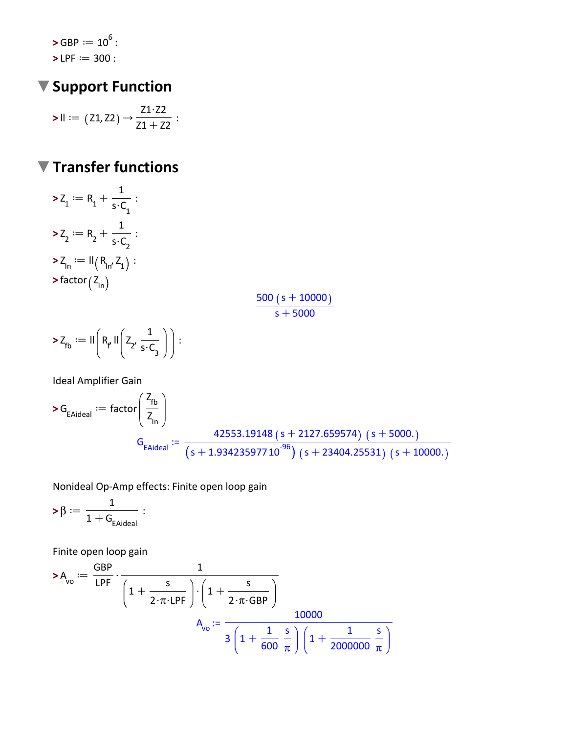>GBP := 
$$
10^6
$$
:  
>LPF := 300 :

# ▼ Support Function

$$
\text{>>II} := (Z1, Z2) \rightarrow \frac{Z1 \cdot Z2}{Z1 + Z2}:
$$

## ▼ Transfer functions

$$
\begin{aligned}\n&\ge Z_1 := R_1 + \frac{1}{s \cdot C_1} : \\
&\ge Z_2 := R_2 + \frac{1}{s \cdot C_2} : \\
&\ge Z_{\text{In}} := \mathsf{II}(R_{\text{In}} Z_1) : \\
&\ge \text{factor}\left(Z_{\text{In}}\right)\n\end{aligned}
$$

$$
\frac{500 (s + 10000)}{s + 5000}
$$

$$
\blacktriangleright Z_{fb} := II\left(R_{\rho} II\left(Z_{2'}\frac{1}{s \cdot C_{3}}\right)\right):
$$

Ideal Amplifier Gain

$$
\begin{aligned} \n\triangleright G_{\text{EAideal}} &:= \text{factor}\bigg(\frac{Z_{\text{fb}}}{Z_{\text{In}}}\bigg) \\ \nG_{\text{EAideal}} &:= \frac{42553.19148 (s + 2127.659574) (s + 5000.)}{(s + 1.93423597710^{-96}) (s + 23404.25531) (s + 10000.)} \n\end{aligned}
$$

Nonideal Op-Amp effects: Finite open loop gain

$$
\text{>\beta} := \frac{1}{1+G_{\text{EAideal}}}:
$$

Finite open loop gain

$$
\mathsf{a}_{\mathsf{vo}} := \frac{\mathsf{GBP}}{\mathsf{LPF}} \cdot \frac{1}{\left(1 + \frac{\mathsf{S}}{2 \cdot \pi \cdot \mathsf{LPF}}\right) \cdot \left(1 + \frac{\mathsf{S}}{2 \cdot \pi \cdot \mathsf{GBP}}\right)}\n\mathsf{A}_{\mathsf{vo}} := \frac{10000}{3 \left(1 + \frac{1}{600} \frac{\mathsf{S}}{\pi}\right) \left(1 + \frac{1}{2000000} \frac{\mathsf{S}}{\pi}\right)}
$$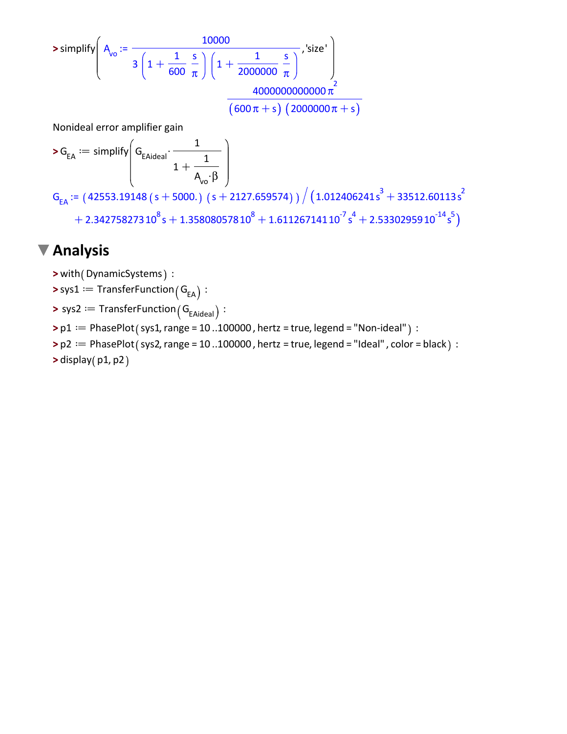**>** simplify Avo := <sup>10000</sup> 3 1C 1 600 s p 1C 1 2000000 s p ,'size' 4000000000000 p 2 600 pCs 2000000pCs

Nonideal error amplifier gain

$$
\displaystyle \textbf{\textsf{>}}\, G_{\text{EA}} := \text{simply}\Bigg(\text{G}_{\text{EAideal}}\cdot \frac{1}{1 + \frac{1}{A_{\text{vo}}\cdot \beta}}
$$

 $\mathsf{G}_\mathsf{EA} \coloneqq \left( \, 42553.19148 \, (\, \mathsf{s} + \mathsf{5000}.) \,\, (\, \mathsf{s} + \mathsf{2127.659574} ) \, \right) \big/ \left( \, 1.012406241 \, \mathsf{s}^3 + 33512.60113 \, \mathsf{s}^2 \, \right.$  $+2.34275827310^{8} s + 1.35808057810^{8} + 1.61126714110^{7} s^{4} + 2.5330295910^{14} s^{5}$ 

#### **Analysis**

- **>** with( DynamicSystems) :
- $\blacktriangleright$  sys $1 \coloneqq \mathsf{TransformerFunction}\big( \mathsf{G}_\mathsf{EA} \big) :$
- $\blacktriangleright$  sys2  $\coloneqq$  TransferFunction  $\left( \mathsf{G}_{\mathsf{EAideal}} \right)$  :
- $\mathsf{p1} := \mathsf{PhasePlot}(\mathsf{sys1},\mathsf{range} = 10..100000$ , hertz = true, legend = "Non-ideal"  $\mathsf{c}$  :
- > p2 := PhasePlot ( sys2, range = 10 ..100000 , hertz = true, legend = "Ideal" , color = black ) :
- **>** display(p1,p2